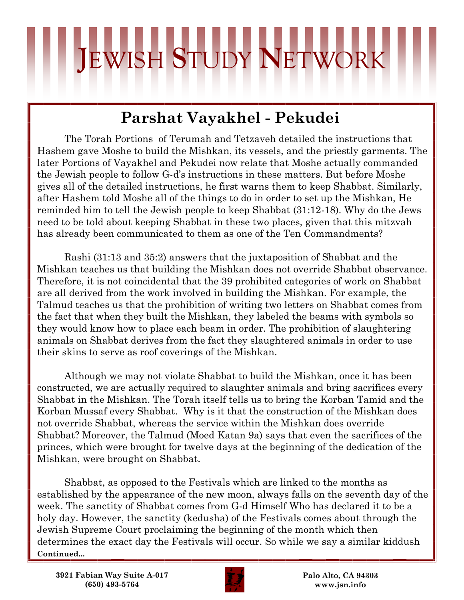## **J**EWISH **S**TUDY **N**ETWORK

## **Parshat Vayakhel - Pekudei**

The Torah Portions of Terumah and Tetzaveh detailed the instructions that Hashem gave Moshe to build the Mishkan, its vessels, and the priestly garments. The later Portions of Vayakhel and Pekudei now relate that Moshe actually commanded the Jewish people to follow G-d's instructions in these matters. But before Moshe gives all of the detailed instructions, he first warns them to keep Shabbat. Similarly, after Hashem told Moshe all of the things to do in order to set up the Mishkan, He reminded him to tell the Jewish people to keep Shabbat (31:12-18). Why do the Jews need to be told about keeping Shabbat in these two places, given that this mitzvah has already been communicated to them as one of the Ten Commandments?

Rashi (31:13 and 35:2) answers that the juxtaposition of Shabbat and the Mishkan teaches us that building the Mishkan does not override Shabbat observance. Therefore, it is not coincidental that the 39 prohibited categories of work on Shabbat are all derived from the work involved in building the Mishkan. For example, the Talmud teaches us that the prohibition of writing two letters on Shabbat comes from the fact that when they built the Mishkan, they labeled the beams with symbols so they would know how to place each beam in order. The prohibition of slaughtering animals on Shabbat derives from the fact they slaughtered animals in order to use their skins to serve as roof coverings of the Mishkan.

Although we may not violate Shabbat to build the Mishkan, once it has been constructed, we are actually required to slaughter animals and bring sacrifices every Shabbat in the Mishkan. The Torah itself tells us to bring the Korban Tamid and the Korban Mussaf every Shabbat. Why is it that the construction of the Mishkan does not override Shabbat, whereas the service within the Mishkan does override Shabbat? Moreover, the Talmud (Moed Katan 9a) says that even the sacrifices of the princes, which were brought for twelve days at the beginning of the dedication of the Mishkan, were brought on Shabbat.

Shabbat, as opposed to the Festivals which are linked to the months as established by the appearance of the new moon, always falls on the seventh day of the week. The sanctity of Shabbat comes from G-d Himself Who has declared it to be a holy day. However, the sanctity (kedusha) of the Festivals comes about through the Jewish Supreme Court proclaiming the beginning of the month which then determines the exact day the Festivals will occur. So while we say a similar kiddush **Continued...**

**3921 Fabian Way Suite A-017 (650) 493-5764**



**Palo Alto, CA 94303 www.jsn.info**